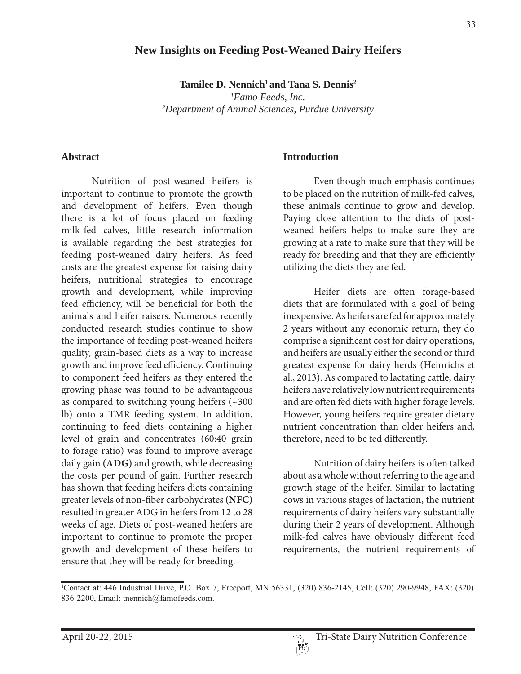# **New Insights on Feeding Post-Weaned Dairy Heifers**

Tamilee D. Nennich<sup>1</sup> and Tana S. Dennis<sup>2</sup>

*1 Famo Feeds, Inc. 2 Department of Animal Sciences, Purdue University*

#### **Abstract**

 Nutrition of post-weaned heifers is important to continue to promote the growth and development of heifers. Even though there is a lot of focus placed on feeding milk-fed calves, little research information is available regarding the best strategies for feeding post-weaned dairy heifers. As feed costs are the greatest expense for raising dairy heifers, nutritional strategies to encourage growth and development, while improving feed efficiency, will be beneficial for both the animals and heifer raisers. Numerous recently conducted research studies continue to show the importance of feeding post-weaned heifers quality, grain-based diets as a way to increase growth and improve feed efficiency. Continuing to component feed heifers as they entered the growing phase was found to be advantageous as compared to switching young heifers (~300 lb) onto a TMR feeding system. In addition, continuing to feed diets containing a higher level of grain and concentrates (60:40 grain to forage ratio) was found to improve average daily gain **(ADG)** and growth, while decreasing the costs per pound of gain. Further research has shown that feeding heifers diets containing greater levels of non-fiber carbohydrates **(NFC)** resulted in greater ADG in heifers from 12 to 28 weeks of age. Diets of post-weaned heifers are important to continue to promote the proper growth and development of these heifers to ensure that they will be ready for breeding.

#### **Introduction**

 Even though much emphasis continues to be placed on the nutrition of milk-fed calves, these animals continue to grow and develop. Paying close attention to the diets of postweaned heifers helps to make sure they are growing at a rate to make sure that they will be ready for breeding and that they are efficiently utilizing the diets they are fed.

 Heifer diets are often forage-based diets that are formulated with a goal of being inexpensive. As heifers are fed for approximately 2 years without any economic return, they do comprise a significant cost for dairy operations, and heifers are usually either the second or third greatest expense for dairy herds (Heinrichs et al., 2013). As compared to lactating cattle, dairy heifers have relatively low nutrient requirements and are often fed diets with higher forage levels. However, young heifers require greater dietary nutrient concentration than older heifers and, therefore, need to be fed differently.

 Nutrition of dairy heifers is often talked about as a whole without referring to the age and growth stage of the heifer. Similar to lactating cows in various stages of lactation, the nutrient requirements of dairy heifers vary substantially during their 2 years of development. Although milk-fed calves have obviously different feed requirements, the nutrient requirements of

<sup>&</sup>lt;sup>1</sup>Contact at: 446 Industrial Drive, P.O. Box 7, Freeport, MN 56331, (320) 836-2145, Cell: (320) 290-9948, FAX: (320) 836-2200, Email: tnennich@famofeeds.com.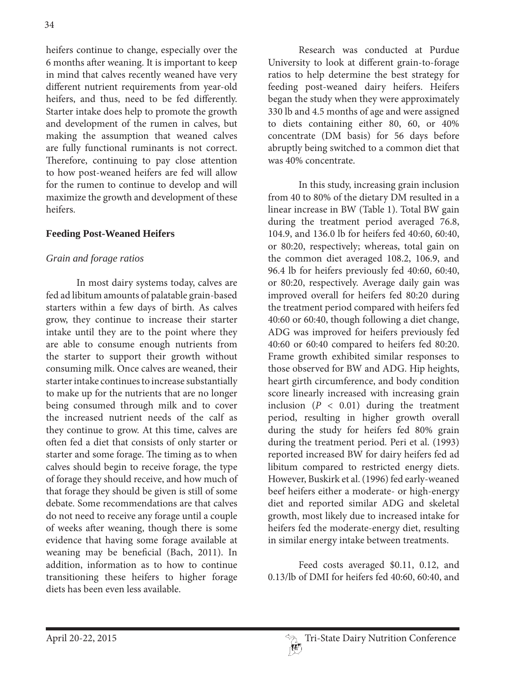heifers continue to change, especially over the 6 months after weaning. It is important to keep in mind that calves recently weaned have very different nutrient requirements from year-old heifers, and thus, need to be fed differently. Starter intake does help to promote the growth and development of the rumen in calves, but making the assumption that weaned calves are fully functional ruminants is not correct. Therefore, continuing to pay close attention to how post-weaned heifers are fed will allow for the rumen to continue to develop and will maximize the growth and development of these heifers.

## **Feeding Post-Weaned Heifers**

### *Grain and forage ratios*

 In most dairy systems today, calves are fed ad libitum amounts of palatable grain-based starters within a few days of birth. As calves grow, they continue to increase their starter intake until they are to the point where they are able to consume enough nutrients from the starter to support their growth without consuming milk. Once calves are weaned, their starter intake continues to increase substantially to make up for the nutrients that are no longer being consumed through milk and to cover the increased nutrient needs of the calf as they continue to grow. At this time, calves are often fed a diet that consists of only starter or starter and some forage. The timing as to when calves should begin to receive forage, the type of forage they should receive, and how much of that forage they should be given is still of some debate. Some recommendations are that calves do not need to receive any forage until a couple of weeks after weaning, though there is some evidence that having some forage available at weaning may be beneficial (Bach, 2011). In addition, information as to how to continue transitioning these heifers to higher forage diets has been even less available.

 Research was conducted at Purdue University to look at different grain-to-forage ratios to help determine the best strategy for feeding post-weaned dairy heifers. Heifers began the study when they were approximately 330 lb and 4.5 months of age and were assigned to diets containing either 80, 60, or 40% concentrate (DM basis) for 56 days before abruptly being switched to a common diet that was 40% concentrate.

 In this study, increasing grain inclusion from 40 to 80% of the dietary DM resulted in a linear increase in BW (Table 1). Total BW gain during the treatment period averaged 76.8, 104.9, and 136.0 lb for heifers fed 40:60, 60:40, or 80:20, respectively; whereas, total gain on the common diet averaged 108.2, 106.9, and 96.4 lb for heifers previously fed 40:60, 60:40, or 80:20, respectively. Average daily gain was improved overall for heifers fed 80:20 during the treatment period compared with heifers fed 40:60 or 60:40, though following a diet change, ADG was improved for heifers previously fed 40:60 or 60:40 compared to heifers fed 80:20. Frame growth exhibited similar responses to those observed for BW and ADG. Hip heights, heart girth circumference, and body condition score linearly increased with increasing grain inclusion  $(P < 0.01)$  during the treatment period, resulting in higher growth overall during the study for heifers fed 80% grain during the treatment period. Peri et al. (1993) reported increased BW for dairy heifers fed ad libitum compared to restricted energy diets. However, Buskirk et al. (1996) fed early-weaned beef heifers either a moderate- or high-energy diet and reported similar ADG and skeletal growth, most likely due to increased intake for heifers fed the moderate-energy diet, resulting in similar energy intake between treatments.

 Feed costs averaged \$0.11, 0.12, and 0.13/lb of DMI for heifers fed 40:60, 60:40, and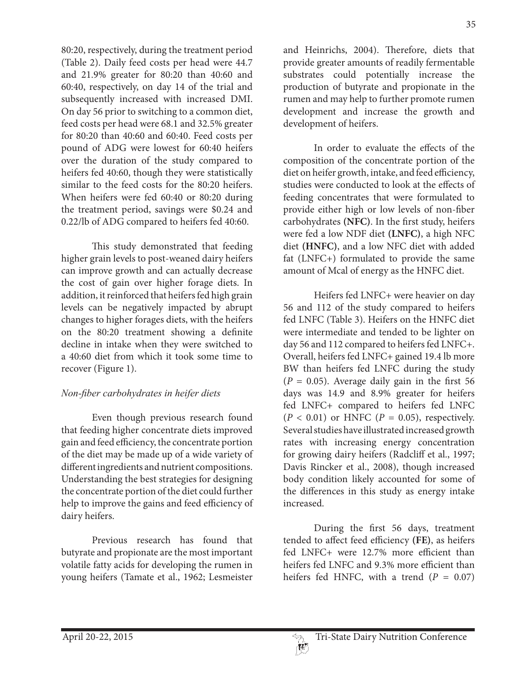80:20, respectively, during the treatment period (Table 2). Daily feed costs per head were 44.7 and 21.9% greater for 80:20 than 40:60 and 60:40, respectively, on day 14 of the trial and subsequently increased with increased DMI. On day 56 prior to switching to a common diet, feed costs per head were 68.1 and 32.5% greater for 80:20 than 40:60 and 60:40. Feed costs per pound of ADG were lowest for 60:40 heifers over the duration of the study compared to heifers fed 40:60, though they were statistically similar to the feed costs for the 80:20 heifers. When heifers were fed 60:40 or 80:20 during the treatment period, savings were \$0.24 and

 This study demonstrated that feeding higher grain levels to post-weaned dairy heifers can improve growth and can actually decrease the cost of gain over higher forage diets. In addition, it reinforced that heifers fed high grain levels can be negatively impacted by abrupt changes to higher forages diets, with the heifers on the 80:20 treatment showing a definite decline in intake when they were switched to a 40:60 diet from which it took some time to recover (Figure 1).

0.22/lb of ADG compared to heifers fed 40:60.

# *Non-fiber carbohydrates in heifer diets*

 Even though previous research found that feeding higher concentrate diets improved gain and feed efficiency, the concentrate portion of the diet may be made up of a wide variety of different ingredients and nutrient compositions. Understanding the best strategies for designing the concentrate portion of the diet could further help to improve the gains and feed efficiency of dairy heifers.

 Previous research has found that butyrate and propionate are the most important volatile fatty acids for developing the rumen in young heifers (Tamate et al., 1962; Lesmeister and Heinrichs, 2004). Therefore, diets that provide greater amounts of readily fermentable substrates could potentially increase the production of butyrate and propionate in the rumen and may help to further promote rumen development and increase the growth and development of heifers.

 In order to evaluate the effects of the composition of the concentrate portion of the diet on heifer growth, intake, and feed efficiency, studies were conducted to look at the effects of feeding concentrates that were formulated to provide either high or low levels of non-fiber carbohydrates **(NFC)**. In the first study, heifers were fed a low NDF diet **(LNFC)**, a high NFC diet **(HNFC)**, and a low NFC diet with added fat (LNFC+) formulated to provide the same amount of Mcal of energy as the HNFC diet.

 Heifers fed LNFC+ were heavier on day 56 and 112 of the study compared to heifers fed LNFC (Table 3). Heifers on the HNFC diet were intermediate and tended to be lighter on day 56 and 112 compared to heifers fed LNFC+. Overall, heifers fed LNFC+ gained 19.4 lb more BW than heifers fed LNFC during the study  $(P = 0.05)$ . Average daily gain in the first 56 days was 14.9 and 8.9% greater for heifers fed LNFC+ compared to heifers fed LNFC  $(P < 0.01)$  or HNFC  $(P = 0.05)$ , respectively. Several studies have illustrated increased growth rates with increasing energy concentration for growing dairy heifers (Radcliff et al., 1997; Davis Rincker et al., 2008), though increased body condition likely accounted for some of the differences in this study as energy intake increased.

 During the first 56 days, treatment tended to affect feed efficiency **(FE)**, as heifers fed LNFC+ were 12.7% more efficient than heifers fed LNFC and 9.3% more efficient than heifers fed HNFC, with a trend  $(P = 0.07)$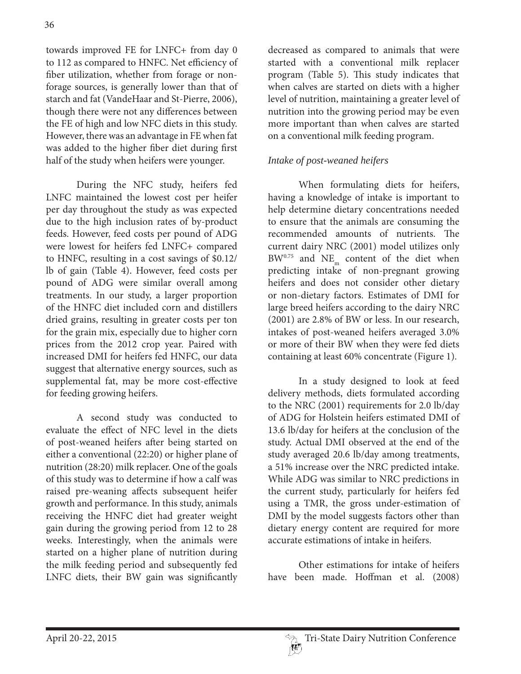towards improved FE for LNFC+ from day 0 to 112 as compared to HNFC. Net efficiency of fiber utilization, whether from forage or nonforage sources, is generally lower than that of starch and fat (VandeHaar and St-Pierre, 2006), though there were not any differences between the FE of high and low NFC diets in this study. However, there was an advantage in FE when fat was added to the higher fiber diet during first half of the study when heifers were younger.

 During the NFC study, heifers fed LNFC maintained the lowest cost per heifer per day throughout the study as was expected due to the high inclusion rates of by-product feeds. However, feed costs per pound of ADG were lowest for heifers fed LNFC+ compared to HNFC, resulting in a cost savings of \$0.12/ lb of gain (Table 4). However, feed costs per pound of ADG were similar overall among treatments. In our study, a larger proportion of the HNFC diet included corn and distillers dried grains, resulting in greater costs per ton for the grain mix, especially due to higher corn prices from the 2012 crop year. Paired with increased DMI for heifers fed HNFC, our data suggest that alternative energy sources, such as supplemental fat, may be more cost-effective for feeding growing heifers.

 A second study was conducted to evaluate the effect of NFC level in the diets of post-weaned heifers after being started on either a conventional (22:20) or higher plane of nutrition (28:20) milk replacer. One of the goals of this study was to determine if how a calf was raised pre-weaning affects subsequent heifer growth and performance. In this study, animals receiving the HNFC diet had greater weight gain during the growing period from 12 to 28 weeks. Interestingly, when the animals were started on a higher plane of nutrition during the milk feeding period and subsequently fed LNFC diets, their BW gain was significantly

decreased as compared to animals that were started with a conventional milk replacer program (Table 5). This study indicates that when calves are started on diets with a higher level of nutrition, maintaining a greater level of nutrition into the growing period may be even more important than when calves are started on a conventional milk feeding program.

# *Intake of post-weaned heifers*

 When formulating diets for heifers, having a knowledge of intake is important to help determine dietary concentrations needed to ensure that the animals are consuming the recommended amounts of nutrients. The current dairy NRC (2001) model utilizes only  $BW^{0.75}$  and  $NE_{m}$  content of the diet when predicting intake of non-pregnant growing heifers and does not consider other dietary or non-dietary factors. Estimates of DMI for large breed heifers according to the dairy NRC (2001) are 2.8% of BW or less. In our research, intakes of post-weaned heifers averaged 3.0% or more of their BW when they were fed diets containing at least 60% concentrate (Figure 1).

 In a study designed to look at feed delivery methods, diets formulated according to the NRC (2001) requirements for 2.0 lb/day of ADG for Holstein heifers estimated DMI of 13.6 lb/day for heifers at the conclusion of the study. Actual DMI observed at the end of the study averaged 20.6 lb/day among treatments, a 51% increase over the NRC predicted intake. While ADG was similar to NRC predictions in the current study, particularly for heifers fed using a TMR, the gross under-estimation of DMI by the model suggests factors other than dietary energy content are required for more accurate estimations of intake in heifers.

 Other estimations for intake of heifers have been made. Hoffman et al. (2008)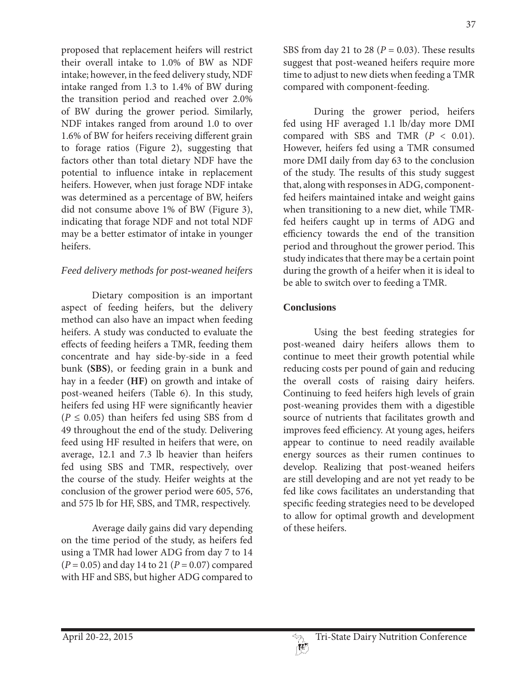proposed that replacement heifers will restrict their overall intake to 1.0% of BW as NDF intake; however, in the feed delivery study, NDF intake ranged from 1.3 to 1.4% of BW during the transition period and reached over 2.0% of BW during the grower period. Similarly, NDF intakes ranged from around 1.0 to over 1.6% of BW for heifers receiving different grain to forage ratios (Figure 2), suggesting that factors other than total dietary NDF have the potential to influence intake in replacement heifers. However, when just forage NDF intake was determined as a percentage of BW, heifers did not consume above 1% of BW (Figure 3), indicating that forage NDF and not total NDF may be a better estimator of intake in younger heifers.

# *Feed delivery methods for post-weaned heifers*

 Dietary composition is an important aspect of feeding heifers, but the delivery method can also have an impact when feeding heifers. A study was conducted to evaluate the effects of feeding heifers a TMR, feeding them concentrate and hay side-by-side in a feed bunk **(SBS)**, or feeding grain in a bunk and hay in a feeder **(HF)** on growth and intake of post-weaned heifers (Table 6). In this study, heifers fed using HF were significantly heavier  $(P \le 0.05)$  than heifers fed using SBS from d 49 throughout the end of the study. Delivering feed using HF resulted in heifers that were, on average, 12.1 and 7.3 lb heavier than heifers fed using SBS and TMR, respectively, over the course of the study. Heifer weights at the conclusion of the grower period were 605, 576, and 575 lb for HF, SBS, and TMR, respectively.

 Average daily gains did vary depending on the time period of the study, as heifers fed using a TMR had lower ADG from day 7 to 14  $(P = 0.05)$  and day 14 to 21  $(P = 0.07)$  compared with HF and SBS, but higher ADG compared to

SBS from day 21 to 28 ( $P = 0.03$ ). These results suggest that post-weaned heifers require more time to adjust to new diets when feeding a TMR compared with component-feeding.

 During the grower period, heifers fed using HF averaged 1.1 lb/day more DMI compared with SBS and TMR  $(P < 0.01)$ . However, heifers fed using a TMR consumed more DMI daily from day 63 to the conclusion of the study. The results of this study suggest that, along with responses in ADG, componentfed heifers maintained intake and weight gains when transitioning to a new diet, while TMRfed heifers caught up in terms of ADG and efficiency towards the end of the transition period and throughout the grower period. This study indicates that there may be a certain point during the growth of a heifer when it is ideal to be able to switch over to feeding a TMR.

# **Conclusions**

 Using the best feeding strategies for post-weaned dairy heifers allows them to continue to meet their growth potential while reducing costs per pound of gain and reducing the overall costs of raising dairy heifers. Continuing to feed heifers high levels of grain post-weaning provides them with a digestible source of nutrients that facilitates growth and improves feed efficiency. At young ages, heifers appear to continue to need readily available energy sources as their rumen continues to develop. Realizing that post-weaned heifers are still developing and are not yet ready to be fed like cows facilitates an understanding that specific feeding strategies need to be developed to allow for optimal growth and development of these heifers.

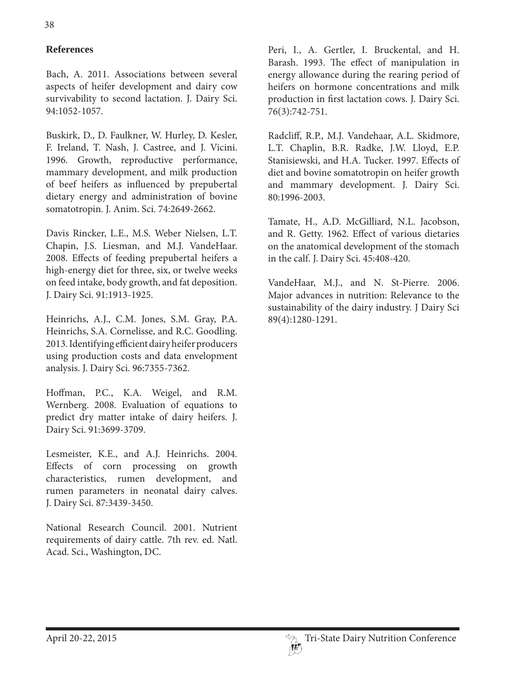# **References**

Bach, A. 2011. Associations between several aspects of heifer development and dairy cow survivability to second lactation. J. Dairy Sci. 94:1052-1057.

Buskirk, D., D. Faulkner, W. Hurley, D. Kesler, F. Ireland, T. Nash, J. Castree, and J. Vicini. 1996. Growth, reproductive performance, mammary development, and milk production of beef heifers as influenced by prepubertal dietary energy and administration of bovine somatotropin. J. Anim. Sci. 74:2649-2662.

Davis Rincker, L.E., M.S. Weber Nielsen, L.T. Chapin, J.S. Liesman, and M.J. VandeHaar. 2008. Effects of feeding prepubertal heifers a high-energy diet for three, six, or twelve weeks on feed intake, body growth, and fat deposition. J. Dairy Sci. 91:1913-1925.

Heinrichs, A.J., C.M. Jones, S.M. Gray, P.A. Heinrichs, S.A. Cornelisse, and R.C. Goodling. 2013. Identifying efficient dairy heifer producers using production costs and data envelopment analysis. J. Dairy Sci. 96:7355-7362.

Hoffman, P.C., K.A. Weigel, and R.M. Wernberg. 2008. Evaluation of equations to predict dry matter intake of dairy heifers. J. Dairy Sci. 91:3699-3709.

Lesmeister, K.E., and A.J. Heinrichs. 2004. Effects of corn processing on growth characteristics, rumen development, and rumen parameters in neonatal dairy calves. J. Dairy Sci. 87:3439-3450.

National Research Council. 2001. Nutrient requirements of dairy cattle. 7th rev. ed. Natl. Acad. Sci., Washington, DC.

Peri, I., A. Gertler, I. Bruckental, and H. Barash. 1993. The effect of manipulation in energy allowance during the rearing period of heifers on hormone concentrations and milk production in first lactation cows. J. Dairy Sci. 76(3):742-751.

Radcliff, R.P., M.J. Vandehaar, A.L. Skidmore, L.T. Chaplin, B.R. Radke, J.W. Lloyd, E.P. Stanisiewski, and H.A. Tucker. 1997. Effects of diet and bovine somatotropin on heifer growth and mammary development. J. Dairy Sci. 80:1996-2003.

Tamate, H., A.D. McGilliard, N.L. Jacobson, and R. Getty. 1962. Effect of various dietaries on the anatomical development of the stomach in the calf. J. Dairy Sci. 45:408-420.

VandeHaar, M.J., and N. St-Pierre. 2006. Major advances in nutrition: Relevance to the sustainability of the dairy industry. J Dairy Sci 89(4):1280-1291.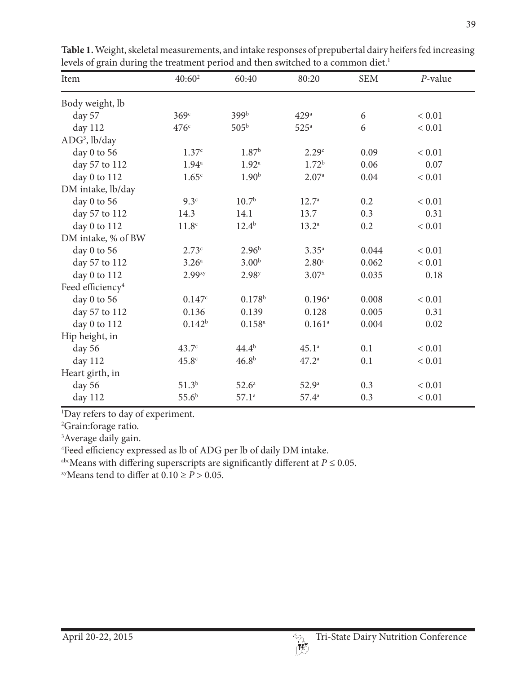| Item                         | $40:60^2$          | 60:40             | 80:20              | <b>SEM</b> | P-value    |
|------------------------------|--------------------|-------------------|--------------------|------------|------------|
| Body weight, lb              |                    |                   |                    |            |            |
| day 57                       | 369 <sup>c</sup>   | 399b              | 429 <sup>a</sup>   | 6          | < 0.01     |
| day 112                      | 476c               | 505 <sup>b</sup>  | $525^{\mathrm{a}}$ | 6          | < 0.01     |
| $ADG3$ , lb/day              |                    |                   |                    |            |            |
| day 0 to 56                  | 1.37c              | 1.87 <sup>b</sup> | 2.29 <sup>c</sup>  | 0.09       | ${}< 0.01$ |
| day 57 to 112                | 1.94 <sup>a</sup>  | 1.92 <sup>a</sup> | 1.72 <sup>b</sup>  | 0.06       | 0.07       |
| day 0 to 112                 | 1.65 <sup>c</sup>  | 1.90 <sup>b</sup> | 2.07a              | 0.04       | < 0.01     |
| DM intake, lb/day            |                    |                   |                    |            |            |
| day 0 to 56                  | 9.3 <sup>c</sup>   | 10.7 <sup>b</sup> | $12.7^{\circ}$     | 0.2        | ${}< 0.01$ |
| day 57 to 112                | 14.3               | 14.1              | 13.7               | 0.3        | 0.31       |
| day 0 to 112                 | 11.8 <sup>c</sup>  | $12.4^{b}$        | $13.2^{\circ}$     | 0.2        | < 0.01     |
| DM intake, % of BW           |                    |                   |                    |            |            |
| day 0 to 56                  | 2.73c              | $2.96^{b}$        | $3.35^{a}$         | 0.044      | < 0.01     |
| day 57 to 112                | 3.26 <sup>a</sup>  | 3.00 <sup>b</sup> | 2.80 <sup>c</sup>  | 0.062      | < 0.01     |
| day 0 to 112                 | 2.99 <sup>xy</sup> | 2.98 <sup>y</sup> | $3.07^{x}$         | 0.035      | $0.18\,$   |
| Feed efficiency <sup>4</sup> |                    |                   |                    |            |            |
| day 0 to 56                  | 0.147c             | $0.178^{b}$       | $0.196^{a}$        | 0.008      | < 0.01     |
| day 57 to 112                | 0.136              | 0.139             | 0.128              | 0.005      | 0.31       |
| day 0 to 112                 | $0.142^{b}$        | $0.158^{a}$       | $0.161^{a}$        | 0.004      | 0.02       |
| Hip height, in               |                    |                   |                    |            |            |
| day 56                       | 43.7 <sup>c</sup>  | $44.4^{b}$        | $45.1^a$           | 0.1        | < 0.01     |
| day 112                      | 45.8 <sup>c</sup>  | $46.8^{b}$        | $47.2^a$           | 0.1        | < 0.01     |
| Heart girth, in              |                    |                   |                    |            |            |
| day 56                       | $51.3^{b}$         | 52.6 <sup>a</sup> | 52.9 <sup>a</sup>  | 0.3        | $< 0.01$   |
| day 112                      | $55.6^{b}$         | $57.1^a$          | $57.4^{\circ}$     | 0.3        | $< 0.01$   |

**Table 1.** Weight, skeletal measurements, and intake responses of prepubertal dairy heifers fed increasing levels of grain during the treatment period and then switched to a common diet.<sup>1</sup>

1 Day refers to day of experiment.

2 Grain:forage ratio.

<sup>3</sup> Average daily gain.

4 Feed efficiency expressed as lb of ADG per lb of daily DM intake.

<sup>abc</sup>Means with differing superscripts are significantly different at  $P \le 0.05$ .

<sup>xy</sup>Means tend to differ at  $0.10 \ge P > 0.05$ .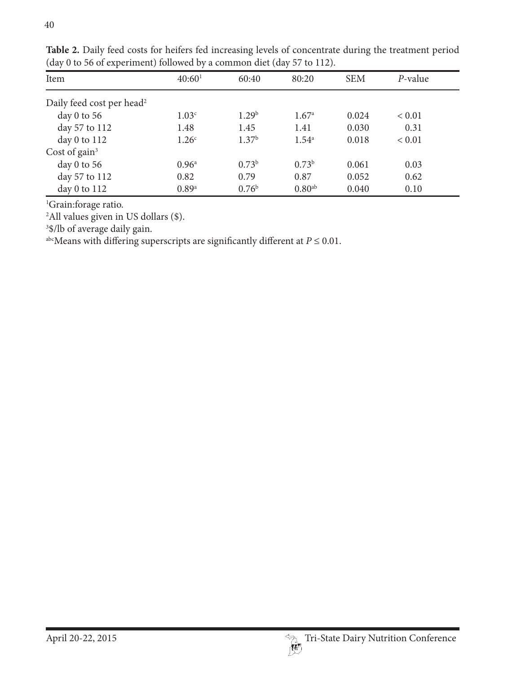| Item                                  | 40:60 <sup>1</sup> | 60:40             | 80:20              | <b>SEM</b> | P-value    |  |
|---------------------------------------|--------------------|-------------------|--------------------|------------|------------|--|
| Daily feed cost per head <sup>2</sup> |                    |                   |                    |            |            |  |
| day $0$ to $56$                       | 1.03 <sup>c</sup>  | 1.29 <sup>b</sup> | 1.67 <sup>a</sup>  | 0.024      | ${}< 0.01$ |  |
| day 57 to 112                         | 1.48               | 1.45              | 1.41               | 0.030      | 0.31       |  |
| day $0$ to $112$                      | 1.26 <sup>c</sup>  | 1.37 <sup>b</sup> | $1.54^{\circ}$     | 0.018      | ${}< 0.01$ |  |
| Cost of gain $3$                      |                    |                   |                    |            |            |  |
| day $0$ to $56$                       | 0.96 <sup>a</sup>  | 0.73 <sup>b</sup> | 0.73 <sup>b</sup>  | 0.061      | 0.03       |  |
| day 57 to 112                         | 0.82               | 0.79              | 0.87               | 0.052      | 0.62       |  |
| day 0 to $112$                        | 0.89a              | 0.76 <sup>b</sup> | 0.80 <sup>ab</sup> | 0.040      | 0.10       |  |

**Table 2.** Daily feed costs for heifers fed increasing levels of concentrate during the treatment period (day 0 to 56 of experiment) followed by a common diet (day 57 to 112).

<sup>1</sup>Grain:forage ratio.

2 All values given in US dollars (\$).

3 \$/lb of average daily gain.

<sup>abc</sup>Means with differing superscripts are significantly different at  $P \le 0.01$ .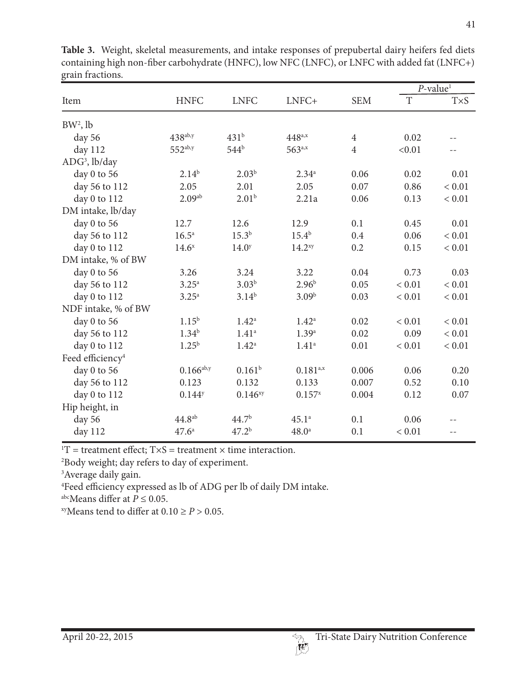|                              |                      |                     |                    |                |             | $P$ -value <sup>1</sup> |  |
|------------------------------|----------------------|---------------------|--------------------|----------------|-------------|-------------------------|--|
| Item                         | <b>HNFC</b>          | <b>LNFC</b>         | LNFC+              | <b>SEM</b>     | $\mathbf T$ | $T\times S$             |  |
| $BW2$ , lb                   |                      |                     |                    |                |             |                         |  |
| day 56                       | $438^{ab,y}$         | 431 <sup>b</sup>    | $448^{a,x}$        | $\overline{4}$ | 0.02        |                         |  |
| day 112                      | $552^{ab,y}$         | 544 <sup>b</sup>    | 563a,x             | $\overline{4}$ | < 0.01      |                         |  |
| $ADG3$ , lb/day              |                      |                     |                    |                |             |                         |  |
| day 0 to 56                  | $2.14^{b}$           | $2.03^{b}$          | $2.34^{a}$         | 0.06           | 0.02        | 0.01                    |  |
| day 56 to 112                | 2.05                 | 2.01                | 2.05               | 0.07           | 0.86        | < 0.01                  |  |
| day 0 to 112                 | 2.09 <sup>ab</sup>   | 2.01 <sup>b</sup>   | 2.21a              | 0.06           | 0.13        | ${}< 0.01$              |  |
| DM intake, lb/day            |                      |                     |                    |                |             |                         |  |
| day 0 to 56                  | 12.7                 | 12.6                | 12.9               | 0.1            | 0.45        | 0.01                    |  |
| day 56 to 112                | 16.5 <sup>a</sup>    | $15.3^{b}$          | $15.4^{b}$         | 0.4            | 0.06        | < 0.01                  |  |
| day 0 to 112                 | 14.6 <sup>x</sup>    | 14.0 <sup>y</sup>   | 14.2 <sup>xy</sup> | 0.2            | 0.15        | < 0.01                  |  |
| DM intake, % of BW           |                      |                     |                    |                |             |                         |  |
| day 0 to 56                  | 3.26                 | 3.24                | 3.22               | 0.04           | 0.73        | 0.03                    |  |
| day 56 to 112                | $3.25^{\rm a}$       | $3.03^{b}$          | $2.96^{b}$         | 0.05           | < 0.01      | < 0.01                  |  |
| day 0 to 112                 | $3.25^{\rm a}$       | $3.14^{b}$          | 3.09 <sup>b</sup>  | 0.03           | ${}< 0.01$  | ${}< 0.01$              |  |
| NDF intake, % of BW          |                      |                     |                    |                |             |                         |  |
| day 0 to 56                  | $1.15^{\rm b}$       | $1.42^{\rm a}$      | $1.42^{\rm a}$     | 0.02           | ${}< 0.01$  | ${}< 0.01$              |  |
| day 56 to 112                | $1.34^{b}$           | 1.41 <sup>a</sup>   | 1.39a              | 0.02           | 0.09        | ${}< 0.01$              |  |
| day 0 to 112                 | $1.25^{b}$           | $1.42^{\circ}$      | 1.41 <sup>a</sup>  | 0.01           | ${}< 0.01$  | ${}< 0.01$              |  |
| Feed efficiency <sup>4</sup> |                      |                     |                    |                |             |                         |  |
| day 0 to 56                  | $0.166^{ab,y}$       | $0.161^{b}$         | $0.181^{a,x}$      | 0.006          | 0.06        | 0.20                    |  |
| day 56 to 112                | 0.123                | 0.132               | 0.133              | 0.007          | 0.52        | 0.10                    |  |
| day 0 to 112                 | $0.144$ <sup>y</sup> | 0.146 <sup>xy</sup> | $0.157^{x}$        | 0.004          | 0.12        | 0.07                    |  |
| Hip height, in               |                      |                     |                    |                |             |                         |  |
| day 56                       | 44.8 <sup>ab</sup>   | 44.7 <sup>b</sup>   | $45.1^a$           | 0.1            | 0.06        |                         |  |
| day 112                      | $47.6^{\circ}$       | 47.2 <sup>b</sup>   | 48.0 <sup>a</sup>  | 0.1            | < 0.01      | $-$                     |  |

**Table 3.** Weight, skeletal measurements, and intake responses of prepubertal dairy heifers fed diets containing high non-fiber carbohydrate (HNFC), low NFC (LNFC), or LNFC with added fat (LNFC+) grain fractions.

 ${}^{1}T$  = treatment effect;  $T \times S$  = treatment  $\times$  time interaction.

2 Body weight; day refers to day of experiment.

<sup>3</sup> Average daily gain.

4 Feed efficiency expressed as lb of ADG per lb of daily DM intake.

<sup>abc</sup>Means differ at  $P \le 0.05$ .

<sup>xy</sup>Means tend to differ at  $0.10 \ge P > 0.05$ .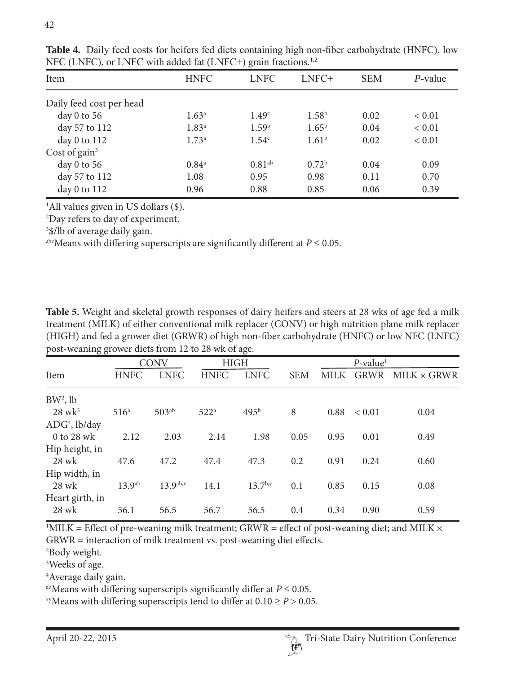| Item                     | <b>HNFC</b>       | <b>LNFC</b>       | LNFC+             | <b>SEM</b> | $P$ -value |
|--------------------------|-------------------|-------------------|-------------------|------------|------------|
| Daily feed cost per head |                   |                   |                   |            |            |
| day $0$ to $56$          | $1.63^{\rm a}$    | 1.49 <sup>c</sup> | 1.58 <sup>b</sup> | 0.02       | ${}< 0.01$ |
| day 57 to 112            | $1.83^{a}$        | 1.59 <sup>b</sup> | $1.65^{\rm b}$    | 0.04       | ${}< 0.01$ |
| day $0$ to $112$         | 1.73 <sup>a</sup> | 1.54 <sup>c</sup> | 1.61 <sup>b</sup> | 0.02       | ${}< 0.01$ |
| Cost of gain $3$         |                   |                   |                   |            |            |
| day $0$ to $56$          | $0.84^{\circ}$    | $0.81^{ab}$       | $0.72^{\rm b}$    | 0.04       | 0.09       |
| day 57 to 112            | 1.08              | 0.95              | 0.98              | 0.11       | 0.70       |
| day $0$ to $112$         | 0.96              | 0.88              | 0.85              | 0.06       | 0.39       |

**Table 4.** Daily feed costs for heifers fed diets containing high non-fiber carbohydrate (HNFC), low NFC (LNFC), or LNFC with added fat (LNFC+) grain fractions.<sup>1,2</sup>

1 All values given in US dollars (\$).

2 Day refers to day of experiment.

3 \$/lb of average daily gain.

abcMeans with differing superscripts are significantly different at  $P \le 0.05$ .

**Table 5.** Weight and skeletal growth responses of dairy heifers and steers at 28 wks of age fed a milk treatment (MILK) of either conventional milk replacer (CONV) or high nutrition plane milk replacer (HIGH) and fed a grower diet (GRWR) of high non-fiber carbohydrate (HNFC) or low NFC (LNFC) post-weaning grower diets from 12 to 28 wk of age.

|                      | <b>CONV</b>        |               | <b>HIGH</b>      |                  |            | $P$ -value <sup>1</sup> |             |                    |
|----------------------|--------------------|---------------|------------------|------------------|------------|-------------------------|-------------|--------------------|
| Item                 | <b>HNFC</b>        | <b>LNFC</b>   | <b>HNFC</b>      | <b>LNFC</b>      | <b>SEM</b> | MILK                    | <b>GRWR</b> | $MILK \times GRWR$ |
| $BW^2$ , lb          |                    |               |                  |                  |            |                         |             |                    |
| $28$ wk <sup>3</sup> | 516 <sup>a</sup>   | $503^{ab}$    | 522 <sup>a</sup> | 495 <sup>b</sup> | 8          | 0.88                    | ${}< 0.01$  | 0.04               |
| $ADG4$ , lb/day      |                    |               |                  |                  |            |                         |             |                    |
| 0 to 28 wk           | 2.12               | 2.03          | 2.14             | 1.98             | 0.05       | 0.95                    | 0.01        | 0.49               |
| Hip height, in       |                    |               |                  |                  |            |                         |             |                    |
| 28 wk                | 47.6               | 47.2          | 47.4             | 47.3             | 0.2        | 0.91                    | 0.24        | 0.60               |
| Hip width, in        |                    |               |                  |                  |            |                         |             |                    |
| 28 wk                | 13.9 <sup>ab</sup> | $13.9^{ab,x}$ | 14.1             | $13.7^{b,y}$     | 0.1        | 0.85                    | 0.15        | 0.08               |
| Heart girth, in      |                    |               |                  |                  |            |                         |             |                    |
| 28 wk                | 56.1               | 56.5          | 56.7             | 56.5             | 0.4        | 0.34                    | 0.90        | 0.59               |
|                      |                    |               |                  |                  |            |                         |             |                    |

 $11$ MILK = Effect of pre-weaning milk treatment; GRWR = effect of post-weaning diet; and MILK  $\times$ GRWR = interaction of milk treatment vs. post-weaning diet effects.

2 Body weight.

3 Weeks of age.

4 Average daily gain.

<sup>ab</sup>Means with differing superscripts significantly differ at  $P \le 0.05$ .

<sup>xy</sup>Means with differing superscripts tend to differ at  $0.10 \ge P > 0.05$ .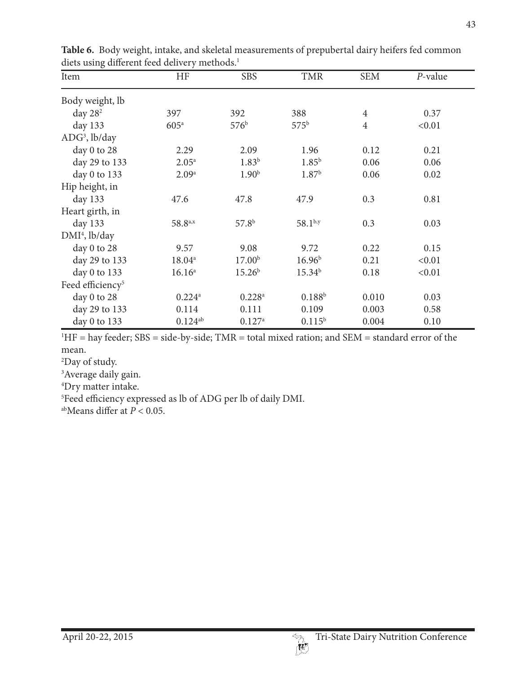| Item                         | <b>HF</b>            | <b>SBS</b>           | <b>TMR</b>         | <b>SEM</b>     | P-value |
|------------------------------|----------------------|----------------------|--------------------|----------------|---------|
| Body weight, lb              |                      |                      |                    |                |         |
| day $282$                    | 397                  | 392                  | 388                | $\overline{4}$ | 0.37    |
| day 133                      | 605 <sup>a</sup>     | 576 <sup>b</sup>     | $575^{\rm b}$      | $\overline{4}$ | < 0.01  |
| $ADG3$ , lb/day              |                      |                      |                    |                |         |
| day 0 to 28                  | 2.29                 | 2.09                 | 1.96               | 0.12           | 0.21    |
| day 29 to 133                | 2.05 <sup>a</sup>    | $1.83^{b}$           | $1.85^{b}$         | 0.06           | 0.06    |
| day 0 to 133                 | 2.09 <sup>a</sup>    | 1.90 <sup>b</sup>    | 1.87 <sup>b</sup>  | 0.06           | 0.02    |
| Hip height, in               |                      |                      |                    |                |         |
| day 133                      | 47.6                 | 47.8                 | 47.9               | 0.3            | 0.81    |
| Heart girth, in              |                      |                      |                    |                |         |
| day 133                      | $58.8^{a,x}$         | 57.8 <sup>b</sup>    | $58.1^{b,y}$       | 0.3            | 0.03    |
| $DMI4$ , lb/day              |                      |                      |                    |                |         |
| day 0 to 28                  | 9.57                 | 9.08                 | 9.72               | 0.22           | 0.15    |
| day 29 to 133                | $18.04^{\circ}$      | 17.00 <sup>b</sup>   | $16.96^{b}$        | 0.21           | < 0.01  |
| day $0$ to 133               | 16.16 <sup>a</sup>   | 15.26 <sup>b</sup>   | 15.34 <sup>b</sup> | 0.18           | < 0.01  |
| Feed efficiency <sup>5</sup> |                      |                      |                    |                |         |
| day 0 to 28                  | $0.224$ <sup>a</sup> | $0.228$ <sup>a</sup> | $0.188^{b}$        | 0.010          | 0.03    |
| day 29 to 133                | 0.114                | 0.111                | 0.109              | 0.003          | 0.58    |
| day 0 to 133                 | $0.124^{ab}$         | $0.127$ <sup>a</sup> | $0.115^{b}$        | 0.004          | 0.10    |

**Table 6.** Body weight, intake, and skeletal measurements of prepubertal dairy heifers fed common diets using different feed delivery methods.<sup>1</sup>

 ${}^{1}$ HF = hay feeder; SBS = side-by-side; TMR = total mixed ration; and SEM = standard error of the mean.

2 Day of study.

<sup>3</sup> Average daily gain.

4 Dry matter intake.

5 Feed efficiency expressed as lb of ADG per lb of daily DMI.

abMeans differ at  $P < 0.05$ .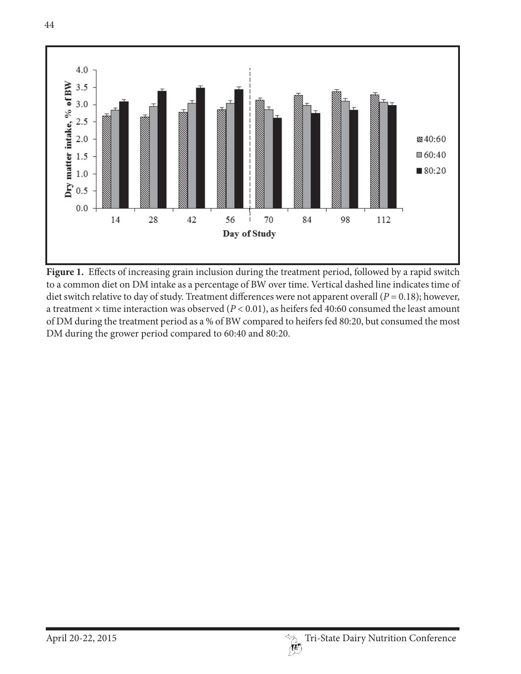

Figure 1. Effects of increasing grain inclusion during the treatment period, followed by a rapid switch to a common diet on DM intake as a percentage of BW over time. Vertical dashed line indicates time of diet switch relative to day of study. Treatment differences were not apparent overall ( $P = 0.18$ ); however, a treatment  $\times$  time interaction was observed ( $P < 0.01$ ), as heifers fed 40:60 consumed the least amount of DM during the treatment period as a % of BW compared to heifers fed 80:20, but consumed the most DM during the grower period compared to 60:40 and 80:20.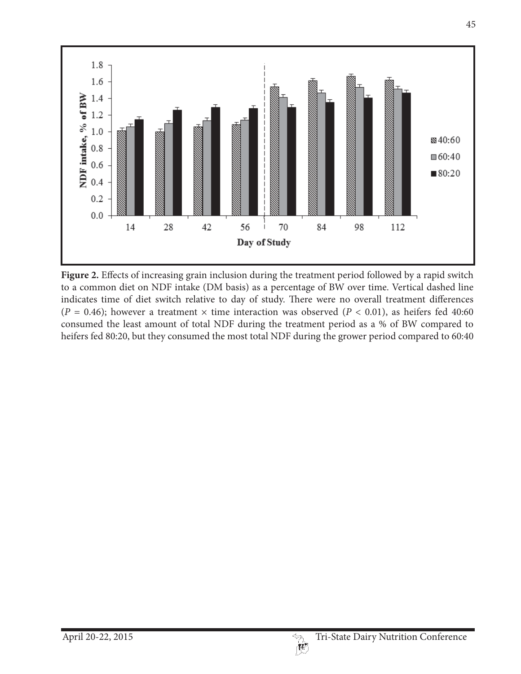

**Figure 2.** Effects of increasing grain inclusion during the treatment period followed by a rapid switch to a common diet on NDF intake (DM basis) as a percentage of BW over time. Vertical dashed line indicates time of diet switch relative to day of study. There were no overall treatment differences ( $P = 0.46$ ); however a treatment  $\times$  time interaction was observed ( $P < 0.01$ ), as heifers fed 40:60 consumed the least amount of total NDF during the treatment period as a % of BW compared to heifers fed 80:20, but they consumed the most total NDF during the grower period compared to 60:40